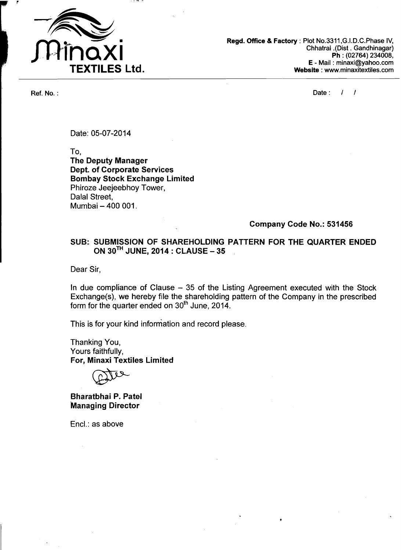

**Regd. Office 8 Factory** : Plot No.3311 ,G.I.D.C.Phase IV, Chhatral .(Did. Gandhinagar) Ph : (02764) 234008, E - Mail : minaxi@yahoo.com **Website** : www.minaxitextiles.com

Ref. No. :  $\sqrt{1 + \frac{1}{2}}$ 

Date: 05-07-20 14

To,

**The Deputy Manager Dept. of Corporate Services Bombay Stock Exchange Limited**  Phiroze Jeejeebhoy Tower, Dalal Street, Mumbai - 400 001.

#### **Company Code No.: 531456**

## **SUB:. SUBMISSION OF SHAREHOLDING PATTERN FOR THE QUARTER ENDED ON 3oTH JUNE, 2014** : **CLAUSE** - **<sup>35</sup>**

Dear Sir,

In due compliance of Clause - 35 of the Listing Agreement executed with the Stock Exchange(s), we hereby file the shareholding pattern of the Company in the prescribed form for the quarter ended on 3oth June, 2014.

This is for your kind information and record please.

Thanking You, Yours faithfully, **For, Minaxi Textiles Limited** 

**Bharatbhai P. Patel -Managing Director** 

Encl.: as above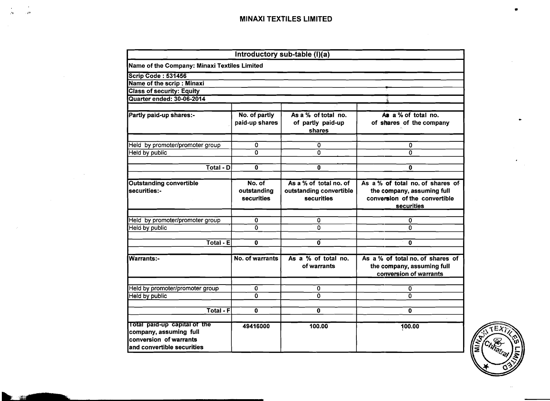|                                                                                                                |                                     | Introductory sub-table $(l)(\overline{a})$                             |                                                                                                               |
|----------------------------------------------------------------------------------------------------------------|-------------------------------------|------------------------------------------------------------------------|---------------------------------------------------------------------------------------------------------------|
| Name of the Company: Minaxi Textiles Limited                                                                   |                                     |                                                                        |                                                                                                               |
| <b>Scrip Code: 531456</b>                                                                                      |                                     |                                                                        |                                                                                                               |
| Name of the scrip: Minaxi                                                                                      |                                     |                                                                        |                                                                                                               |
| <b>Class of security: Equity</b>                                                                               |                                     |                                                                        |                                                                                                               |
| Quarter ended: 30-06-2014                                                                                      |                                     |                                                                        |                                                                                                               |
|                                                                                                                |                                     |                                                                        |                                                                                                               |
| Partly paid-up shares:-                                                                                        | No. of partly<br>paid-up shares     | As a % of total no.<br>of partly paid-up<br>shares                     | As a % of total no.<br>of shares of the company                                                               |
| Held by promoter/promoter group                                                                                | 0                                   | 0                                                                      | 0                                                                                                             |
| <b>Held by public</b>                                                                                          | $\overline{0}$                      | 0                                                                      | $\Omega$                                                                                                      |
| $\overline{\text{Total}}$ - D                                                                                  | $\overline{0}$                      | 0                                                                      | 0                                                                                                             |
|                                                                                                                |                                     |                                                                        |                                                                                                               |
| <b>Outstanding convertible</b><br>securities:-                                                                 | No. of<br>outstanding<br>securities | As a % of total no. of<br>outstanding convertible<br><b>securities</b> | As a % of total no. of shares of<br>the company, assuming full<br>conversion of the convertible<br>securities |
|                                                                                                                |                                     |                                                                        |                                                                                                               |
| Held by promoter/promoter group                                                                                | 0                                   | 0                                                                      | 0                                                                                                             |
| Held by public                                                                                                 | $\overline{0}$                      | 0                                                                      | 0                                                                                                             |
| Total - E                                                                                                      | 0                                   | Ő                                                                      | 0                                                                                                             |
|                                                                                                                |                                     |                                                                        |                                                                                                               |
| Warrants:-                                                                                                     | No. of warrants                     | As a % of total no.<br>of warrants                                     | As a % of total no. of shares of<br>the company, assuming full<br>conversion of warrants                      |
|                                                                                                                |                                     |                                                                        |                                                                                                               |
| Held by promoter/promoter group                                                                                | $\mathbf 0$<br><sup>0</sup>         | $\mathbf 0$<br>0                                                       | 0<br>$\overline{\mathbf{0}}$                                                                                  |
| <b>Held by public</b>                                                                                          |                                     |                                                                        |                                                                                                               |
| $Total - F$                                                                                                    | $\mathbf{O}$                        | $\mathbf 0$                                                            | 0                                                                                                             |
| Total paid-up capital of the<br>company, assuming full<br>conversion of warrants<br>and convertible securities | 49416000                            | 100.00                                                                 | 100.00                                                                                                        |



 $\bullet$  $\mathcal{N}$ 

 $\overline{1}$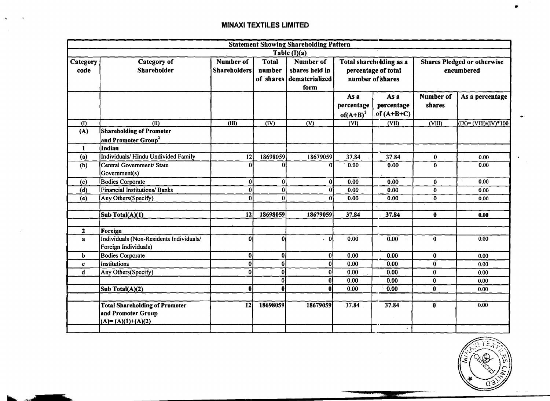$\ddotsc$ 

|                  |                                                                                    |                                         |                        | <b>Statement Showing Shareholding Pattern</b>                          |                                                                    |                                   |                                                  |                                                                       |  |
|------------------|------------------------------------------------------------------------------------|-----------------------------------------|------------------------|------------------------------------------------------------------------|--------------------------------------------------------------------|-----------------------------------|--------------------------------------------------|-----------------------------------------------------------------------|--|
|                  |                                                                                    |                                         |                        | Table (I)(a)                                                           |                                                                    |                                   |                                                  |                                                                       |  |
| Category<br>code | <b>Category</b> of<br>Shareholder                                                  | <b>Number of</b><br><b>Shareholders</b> | <b>Total</b><br>number | <b>Number of</b><br>shares held in<br>of shares dematerialized<br>form | Total shareholding as a<br>percentage of total<br>number of shares |                                   | <b>Shares Pledged or otherwise</b><br>encumbered |                                                                       |  |
|                  |                                                                                    |                                         |                        |                                                                        | As a<br>percentage<br>$of(A+B)^1$                                  | As a<br>percentage<br>$cf(A+B+C)$ | Number of<br>shares                              | As a percentage                                                       |  |
| (1)              | $\overline{\text{CD}}$                                                             | $\overline{\text{dm}}$                  | $\overline{dV}$        | $\overline{\text{(V)}}$                                                | $\overline{\text{(VI)}}$                                           | $\overline{\text{CVD}}$           | $\overline{\text{(VIII)}}$                       | $\overline{(\text{IX})} = \overline{(\text{VIII})/(\text{IV})}$ * 100 |  |
| (A)              | <b>Shareholding of Promoter</b><br>and Promoter Group <sup>2</sup>                 |                                         |                        |                                                                        |                                                                    |                                   |                                                  |                                                                       |  |
| 1                | Indian                                                                             |                                         |                        |                                                                        |                                                                    |                                   |                                                  |                                                                       |  |
| (a)              | Individuals/Hindu Undivided Family                                                 | 12                                      | 18698059               | 18679059                                                               | 37.84                                                              | 37.84                             | $\bf{0}$                                         | 0.00                                                                  |  |
| (b)              | Central Government/ State<br>Government(s)                                         | $\Omega$                                | $\Omega$               | ΩI                                                                     | 0.00                                                               | 0.00                              | $\bf{0}$                                         | 0.00                                                                  |  |
| (c)              | <b>Bodies Corporate</b>                                                            | $\bf{0}$                                | 0                      | 0                                                                      | 0.00                                                               | 0.00                              | $\bf{0}$                                         | 0.00<br>$\epsilon$                                                    |  |
| (d)              | <b>Financial Institutions/ Banks</b>                                               | $\bf{0}$                                | $\bf{0}$               | $\overline{0}$                                                         | 0.00                                                               | 0.00                              | $\bf{0}$                                         | 0.00                                                                  |  |
| (e)              | Any Others(Specify)                                                                | $\Omega$                                | $\Omega$               | $\Omega$                                                               | 0.00                                                               | 0.00                              | $\bf{0}$                                         | 0.00                                                                  |  |
|                  | Sub Total(A)(1)                                                                    | 12                                      | 18698059               | 18679059                                                               | 37.84                                                              | 37.84                             | $\bf{0}$                                         | 0.00                                                                  |  |
| $\mathbf{2}$     | Foreign                                                                            |                                         |                        |                                                                        |                                                                    |                                   |                                                  |                                                                       |  |
| a                | Individuals (Non-Residents Individuals/<br>Foreign Individuals)                    | $\mathbf 0$                             | $\mathbf{0}$           | $\mathbf{0}$<br>$\epsilon$                                             | 0.00                                                               | 0.00                              | $\bf{0}$                                         | 0.00                                                                  |  |
| b                | <b>Bodies Corporate</b>                                                            | $\boldsymbol{0}$                        | 0                      | $\mathbf{0}$                                                           | 0.00                                                               | 0.00                              | $\bf{0}$                                         | 0.00                                                                  |  |
| c                | <b>Institutions</b>                                                                | $\bf{0}$                                | $\bf{0}$               | 0                                                                      | 0.00                                                               | 0.00                              | $\bf{0}$                                         | 0.00                                                                  |  |
| d                | Any Others(Specify)                                                                | $\bf{0}$                                | $\mathbf{0}$           | $\bf{0}$                                                               | 0.00                                                               | 0.00                              | $\bf{0}$                                         | 0.00                                                                  |  |
|                  |                                                                                    |                                         | $\overline{0}$         | $\bf{0}$                                                               | 0.00                                                               | 0.00                              | $\bf{0}$                                         | 0.00                                                                  |  |
|                  | Sub Total(A)(2)                                                                    | $\bf{0}$                                | $\bf{0}$               | $\bf{0}$                                                               | 0.00                                                               | 0.00                              | $\bf{0}$                                         | 0.00                                                                  |  |
|                  | <b>Total Shareholding of Promoter</b><br>and Promoter Group<br>$(A)=(A)(1)+(A)(2)$ | 12                                      | 18698059               | 18679059                                                               | 37.84                                                              | 37.84                             | $\mathbf{0}$                                     | 0.00                                                                  |  |

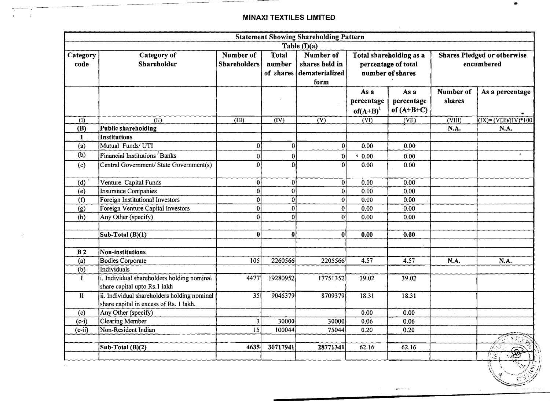-

|                             |                                                                                       |                                  |                                     | <b>Statement Showing Shareholding Pattern</b>         |                                                                    |                                    |                                                  |                                                           |  |
|-----------------------------|---------------------------------------------------------------------------------------|----------------------------------|-------------------------------------|-------------------------------------------------------|--------------------------------------------------------------------|------------------------------------|--------------------------------------------------|-----------------------------------------------------------|--|
|                             |                                                                                       |                                  |                                     | Table $(I)(a)$                                        |                                                                    |                                    |                                                  |                                                           |  |
| Category<br>code            | Category of<br>Shareholder                                                            | Number of<br><b>Shareholders</b> | <b>Total</b><br>number<br>of shares | Number of<br>shares held in<br>dematerialized<br>form | Total shareholding as a<br>percentage of total<br>number of shares |                                    | <b>Shares Pledged or otherwise</b><br>encumbered |                                                           |  |
|                             |                                                                                       |                                  |                                     |                                                       | As a<br>percentage<br>$of(A+B)^1$                                  | As a<br>percentage<br>of $(A+B+C)$ | Number of<br>shares                              | As a percentage                                           |  |
| $\overline{(\mathfrak{h})}$ | $\overline{\text{CD}}$                                                                | (III)                            | $\overline{(\overline{IV})}$        | $\overline{(V)}$                                      | $\overline{\text{(VI)}}$                                           | $\overline{\text{(VII)}}$          | $\overline{\text{(VIII)}}$                       | $\overline{(\text{IX})} = (\text{VIII})/(\text{IV})$ *100 |  |
| (B)                         | Public shareholding                                                                   |                                  |                                     |                                                       |                                                                    |                                    | N.A.                                             | N.A.                                                      |  |
| 1                           | Institutions                                                                          |                                  |                                     |                                                       |                                                                    |                                    |                                                  |                                                           |  |
| (a)                         | Mutual Funds/ UTI                                                                     | 0                                | $\boldsymbol{0}$                    | 0                                                     | 0.00                                                               | 0.00                               |                                                  |                                                           |  |
| (b)                         | Financial Institutions Banks                                                          | $\overline{0}$                   | $\mathbf{0}$                        | $\hat{0}$                                             | $* 0.00$                                                           | 0.00                               |                                                  |                                                           |  |
| (c)                         | Central Government/ State Government(s)                                               | $\overline{0}$                   | $\overline{0}$                      | 'n                                                    | 0.00                                                               | 0.00                               |                                                  |                                                           |  |
| (d)                         | Venture Capital Funds                                                                 | 0                                | 0                                   | $\bf{0}$                                              | 0.00                                                               | 0.00                               |                                                  |                                                           |  |
| (e)                         | <b>Insurance Companies</b>                                                            | $\boldsymbol{0}$                 | $\mathbf{0}$                        | $\mathbf{0}$                                          | 0.00                                                               | 0.00                               |                                                  |                                                           |  |
| (f)                         | <b>Foreign Institutional Investors</b>                                                | 0                                | $\mathbf{0}$                        | $\vert 0 \vert$                                       | 0.00                                                               | 0.00                               |                                                  |                                                           |  |
| (g)                         | Foreign Venture Capital Investors                                                     | $\mathbf{0}$                     | $\boldsymbol{0}$                    | $\bf{0}$                                              | 0.00                                                               | 0.00                               |                                                  |                                                           |  |
| (h)                         | Any Other (specify)                                                                   | $\vert 0 \vert$                  | $\mathbf{0}$                        | Ωİ                                                    | 0.00                                                               | 0.00                               |                                                  |                                                           |  |
|                             | Sub-Total (B)(1)                                                                      | $\boldsymbol{0}$                 | 0                                   | $\mathbf{0}$                                          | 0.00                                                               | 0.00                               |                                                  |                                                           |  |
| B <sub>2</sub>              | Non-institutions                                                                      |                                  |                                     |                                                       |                                                                    |                                    |                                                  |                                                           |  |
| (a)                         | <b>Bodies Corporate</b>                                                               | 105                              | 2260566                             | 2205566                                               | 4.57                                                               | 4.57                               | N.A.                                             | N.A.                                                      |  |
| (b)                         | Individuals                                                                           |                                  |                                     |                                                       |                                                                    |                                    |                                                  |                                                           |  |
| $\bf{I}$                    | i. Individual shareholders holding nominal<br>share capital upto Rs.1 lakh            | 4477                             | 19280952                            | 17751352                                              | 39.02                                                              | 39.02                              |                                                  |                                                           |  |
| $\mathbf{I}$                | ii. Individual shareholders holding nominal<br>share capital in excess of Rs. 1 lakh. | 35                               | 9046379                             | 8709379                                               | 18.31                                                              | 18.31                              |                                                  |                                                           |  |
| (c)                         | Any Other (specify)                                                                   |                                  |                                     |                                                       | 0.00                                                               | 0.00                               |                                                  |                                                           |  |
| $(c-i)$                     | Clearing Member                                                                       | $\overline{3}$                   | 30000                               | 30000                                                 | 0.06                                                               | 0.06                               |                                                  |                                                           |  |
| $(c-i)$                     | Non-Resident Indian                                                                   | $\overline{15}$                  | 100044                              | 75044                                                 | 0.20                                                               | 0.20                               |                                                  |                                                           |  |
|                             |                                                                                       |                                  |                                     |                                                       |                                                                    |                                    |                                                  |                                                           |  |
|                             | Sub-Total (B)(2)                                                                      | 4635                             | 30717941                            | 28771341                                              | 62.16                                                              | 62.16                              |                                                  | ं इ                                                       |  |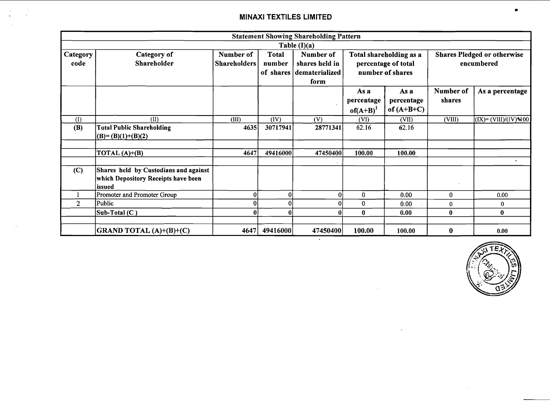$\alpha$ 

 $\sim$  $\mathbf{r}$ 

 $\mathcal{F}$ 

|                  |                                                                                                |                                  |                        | <b>Statement Showing Shareholding Pattern</b>                   |                                                                    |                                    |                                                  |                                               |  |
|------------------|------------------------------------------------------------------------------------------------|----------------------------------|------------------------|-----------------------------------------------------------------|--------------------------------------------------------------------|------------------------------------|--------------------------------------------------|-----------------------------------------------|--|
|                  |                                                                                                |                                  |                        | Table $(I)(a)$                                                  |                                                                    |                                    |                                                  |                                               |  |
| Category<br>code | Category of<br>Shareholder                                                                     | Number of<br><b>Shareholders</b> | <b>Total</b><br>number | Number of<br>shares held in<br>of shares dematerialized<br>form | Total shareholding as a<br>percentage of total<br>number of shares |                                    | <b>Shares Pledged or otherwise</b><br>encumbered |                                               |  |
|                  |                                                                                                |                                  |                        |                                                                 | As a<br>percentage<br>$of(A+B)^{1}$                                | As a<br>percentage<br>of $(A+B+C)$ | Number of<br>shares                              | As a percentage                               |  |
| (1)              | (II)                                                                                           | (III)                            | (IV)                   | (V)                                                             | (VI)                                                               | (VII)                              | (VIII)                                           | $\left( (IX) = (VIII)/(IV) \cdot 100 \right)$ |  |
| (B)              | <b>Total Public Shareholding</b><br>$(B)=(B)(1)+(B)(2)$                                        | 4635                             | 30717941               | 28771341                                                        | 62.16                                                              | 62.16                              |                                                  |                                               |  |
|                  | TOTAL $(A)+(B)$                                                                                | 4647                             | 49416000               | 47450400                                                        | 100.00                                                             | 100.00                             |                                                  | ٠                                             |  |
| (C)              | Shares held by Custodians and against<br><b>which Depository Receipts have been</b><br>lissued |                                  |                        |                                                                 |                                                                    |                                    |                                                  |                                               |  |
|                  | Promoter and Promoter Group                                                                    | $\boldsymbol{0}$                 | 01                     | $\bf{0}$                                                        | $\bf{0}$                                                           | 0.00                               | 0                                                | 0.00                                          |  |
| $\overline{2}$   | Public                                                                                         | $\Omega$                         | ۵l                     | 0                                                               | $\bf{0}$                                                           | 0.00                               | $\mathbf{0}$                                     | 0                                             |  |
|                  | Sub-Total (C)                                                                                  | O                                | 0                      | $\mathbf{0}$                                                    | $\bf{0}$                                                           | 0.00                               | 0                                                | 0                                             |  |
|                  | <b>GRAND TOTAL (A)+(B)+(C)</b>                                                                 | 4647                             | 49416000               | 47450400                                                        | 100.00                                                             | 100.00                             | $\bf{0}$                                         | 0.00                                          |  |

 $\sim$ 



 $\sim$ 

\*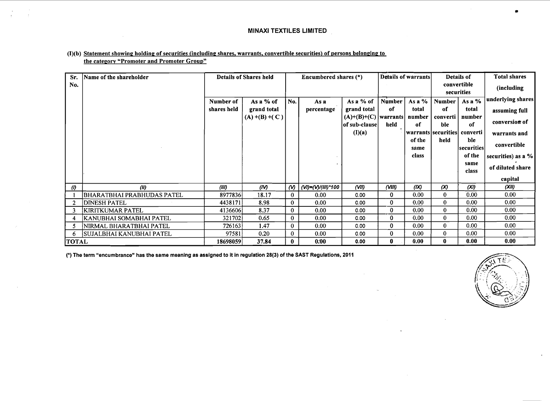#### $(1)(b)$  Statement showing holding of securities (including shares, warrants, convertible securities) of persons belonging to the category "Promoter and Promoter Group"

| Sr.<br>No.          | Name of the shareholder         |             | Details of Shares held |                       | Encumbered shares (*) |                                            |          | Details of warrants |                               | Details of<br>convertible | <b>Total shares</b>  |
|---------------------|---------------------------------|-------------|------------------------|-----------------------|-----------------------|--------------------------------------------|----------|---------------------|-------------------------------|---------------------------|----------------------|
|                     |                                 |             |                        |                       |                       |                                            |          |                     |                               | securities                | (including           |
|                     |                                 | Number of   | As a % of              | No.                   | As a                  | As a % of                                  | Number   | As a $%$            | Number                        | As a %                    | underlying shares    |
|                     |                                 | shares held | grand total            |                       | percentage            | grand total                                | 0f       | total               | of                            | total                     | assuming full        |
|                     |                                 |             | $(A) + (B) + (C)$      |                       |                       | $(A)+(B)+(C)$  warrants <br> of sub-clause | held     | number<br>0f        | converti<br>ble               | number<br>0f              | conversion of        |
|                     |                                 |             |                        |                       |                       | (I)(a)                                     |          |                     | warrants securities  converti |                           | warrants and         |
|                     |                                 |             |                        |                       |                       |                                            |          | of the<br>same      | held                          | ble<br> securities        | convertible          |
|                     |                                 |             |                        |                       |                       |                                            |          | class               |                               | of the                    | securities) as a $%$ |
|                     |                                 |             |                        |                       |                       |                                            |          |                     |                               | same                      | of diluted share     |
|                     |                                 |             |                        |                       |                       |                                            |          |                     |                               | class                     |                      |
|                     |                                 |             |                        |                       |                       |                                            |          |                     |                               |                           | capital              |
| $\langle l \rangle$ | (11)                            | (III)       | (IV)                   | $\boldsymbol{\omega}$ | (VI)=(V)/(III)*100    | $($ VII)                                   | (VIII)   | (IX)                | (x)                           | (XI)                      | (XII)                |
|                     | BHARATBHAI PRABHUDAS PATEL      | 8977836     | 18.17                  | $\mathbf{0}$          | 0.00                  | 0.00                                       | 0        | 0.00                | $\bf{0}$                      | 0.00                      | 0.00                 |
| 2                   | <b>DINESH PATEL</b>             | 4438171     | 8.98                   | $\mathbf{0}$          | 0.00                  | 0.00                                       | $\bf{0}$ | 0.00                | $\bf{0}$                      | 0.00                      | 0.00                 |
| 3                   | <b>KIRITKUMAR PATEL</b>         | 4136606     | 8.37                   | $\mathbf{0}$          | 0.00                  | 0.00                                       | $\bf{0}$ | 0.00                | $\bf{0}$                      | 0.00                      | 0.00                 |
| 4                   | KANUBHAI SOMABHAI PATEL         | 321702      | 0.65                   | $\mathbf{0}$          | 0.00                  | 0.00                                       | $\bf{0}$ | 0.00 <sub>1</sub>   | $\bf{0}$                      | 0.00                      | 0.00                 |
|                     | NIRMAL BHARATBHAI PATEL         | 726163      | 1.47                   | $\mathbf{0}$          | 0.00                  | 0.00                                       | $\bf{0}$ | 0.00                | $\bf{0}$                      | 0.00                      | 0.00                 |
| 6                   | <b>SUJALBHAI KANUBHAI PATEL</b> | 97581       | 0.20                   | $\mathbf{0}$          | 0.00                  | 0.00                                       | 0        | 0.00                | $\bf{0}$                      | 0.00                      | 0.00                 |
| <b>TOTAL</b>        |                                 | 18698059    | 37.84                  | $\bf{0}$              | 0.00                  | 0.00                                       | $\bf{0}$ | 0.00                | $\bf{0}$                      | 0.00                      | 0.00                 |

(\*) **The term "encumbrance" has the same meaning as assigned to it in regulation 28(3) of the SAST Regulations, 2011** 

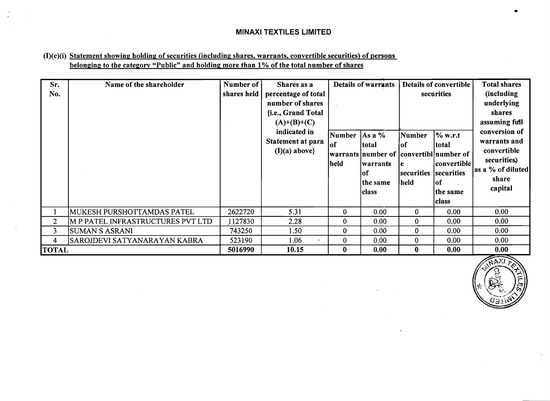# $(I)(c)(i)$  Statement showing holding of securities (including shares, warrants, convertible securities) of persons belonging to the category "Public" and holding more than 1% of the total number of shares

| Sr.<br>No.     | Name of the shareholder           | Number of<br>shares held | Shares as a<br>percentage of total<br>number of shares<br>{i.e., Grand Total<br>$(A)+(B)+(C)$<br>indicated in<br>Statement at para<br>$(I)(a)$ above} | Number<br>lof<br>held | <b>Details of warrants</b><br>$As a \%$<br>total<br> warrants number of  convertibl number of<br>lwarrants<br>lof<br>the same<br> class | <b>Number</b><br>lof<br>le<br>securities   securities<br>held | Details of convertible<br>securities<br>% w.r.t<br>total<br> convertible <br>lof<br>the same<br> class | <b>Total shares</b><br>(including<br>underlying<br>shares<br>assuming full<br>conversion of<br>warrants and<br>convertible<br>securities.)<br>as a % of diluted<br>share<br>capital |
|----------------|-----------------------------------|--------------------------|-------------------------------------------------------------------------------------------------------------------------------------------------------|-----------------------|-----------------------------------------------------------------------------------------------------------------------------------------|---------------------------------------------------------------|--------------------------------------------------------------------------------------------------------|-------------------------------------------------------------------------------------------------------------------------------------------------------------------------------------|
|                | MUKESH PURSHOTTAMDAS PATEL        | 2622720                  | 5.31                                                                                                                                                  | $\bf{0}$              | 0.00                                                                                                                                    | $\bf{0}$                                                      | 0.00                                                                                                   | 0.00                                                                                                                                                                                |
| $\overline{2}$ | M P PATEL INFRASTRUCTURES PVT LTD | 1127830                  | 2.28                                                                                                                                                  | $\bf{0}$              | 0.00                                                                                                                                    | $\bf{0}$                                                      | 0.00                                                                                                   | 0.00                                                                                                                                                                                |
| 3              | <b>SUMAN S ASRANI</b>             | 743250                   | 1.50                                                                                                                                                  | $\bf{0}$              | 0.00                                                                                                                                    | $\bf{0}$                                                      | 0.00                                                                                                   | 0.00                                                                                                                                                                                |
| 4              | SAROJDEVI SATYANARAYAN KABRA      | 523190                   | 1.06<br>$\epsilon$                                                                                                                                    | $\bf{0}$              | 0.00                                                                                                                                    | $\bf{0}$                                                      | 0.00                                                                                                   | 0.00                                                                                                                                                                                |
| <b> TOTAL</b>  |                                   | 5016990                  | 10.15                                                                                                                                                 | $\bf{0}$              | 0.00                                                                                                                                    | $\bf{0}$                                                      | 0.00                                                                                                   | 0.00                                                                                                                                                                                |

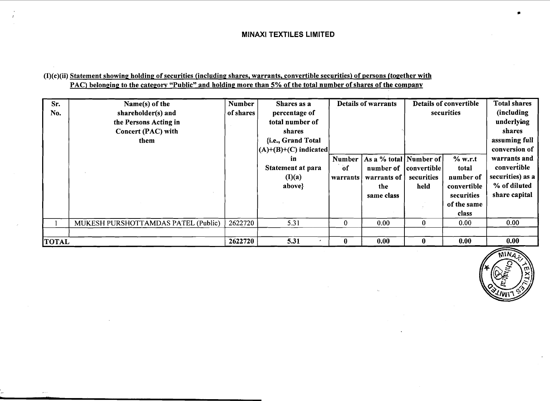# $(I)(c)(ii)$  Statement showing holding of securities (including shares, warrants, convertible securities) of persons (together with PAC) belonging to the category "Public" and holding more than 5% of the total number of shares of the company

| Sr.<br>No.   | Name(s) of the<br>shareholder(s) and<br>the Persons Acting in<br>Concert (PAC) with<br>them | <b>Number</b><br>of shares | Shares as a<br>percentage of<br>total number of<br>shares<br>{i.e., Grand Total | <b>Details of warrants</b> |                                                                         | Details of convertible<br>securities | <b>Total shares</b><br>(including<br>underlying<br>shares<br>assuming full |                                                                                                   |
|--------------|---------------------------------------------------------------------------------------------|----------------------------|---------------------------------------------------------------------------------|----------------------------|-------------------------------------------------------------------------|--------------------------------------|----------------------------------------------------------------------------|---------------------------------------------------------------------------------------------------|
|              |                                                                                             |                            | $ (A)+(B)+(C)$ indicated<br>in<br>Statement at para<br>(I)(a)<br>above}         | Number<br>of<br>warrants   | As a % total Number of<br>number of<br>warrants of<br>the<br>same class | convertible<br>securities<br>held    | % w.r.t<br>total<br>number of<br>convertible<br>securities<br>of the same  | conversion of<br>warrants and<br>convertible<br>securities) as a<br>% of diluted<br>share capital |
|              |                                                                                             |                            |                                                                                 |                            |                                                                         |                                      | class                                                                      |                                                                                                   |
|              | MUKESH PURSHOTTAMDAS PATEL (Public)                                                         | 2622720                    | 5.31                                                                            | $\bf{0}$                   | 0.00                                                                    | $\bf{0}$                             | 0.00                                                                       | 0.00                                                                                              |
| <b>TOTAL</b> |                                                                                             | 2622720                    | 5.31                                                                            | $\mathbf{0}$               | 0.00                                                                    | $\mathbf{0}$                         | 0.00                                                                       | 0.00                                                                                              |

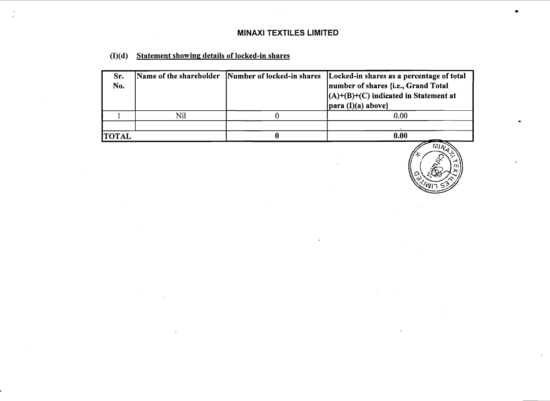$\sim$ 

| $(I)(d)$ Statement showing details of locked-in shares |
|--------------------------------------------------------|
|                                                        |

| Sr.<br>No.   |     | Name of the shareholder Number of locked-in shares Locked-in shares as a percentage of total<br>number of shares {i.e., Grand Total<br>$(A)+(B)+(C)$ indicated in Statement at<br>$ para (I)(a) above\}$ |
|--------------|-----|----------------------------------------------------------------------------------------------------------------------------------------------------------------------------------------------------------|
|              | Nil | 0.00                                                                                                                                                                                                     |
|              |     |                                                                                                                                                                                                          |
| <b>TOTAL</b> |     | 0.00                                                                                                                                                                                                     |

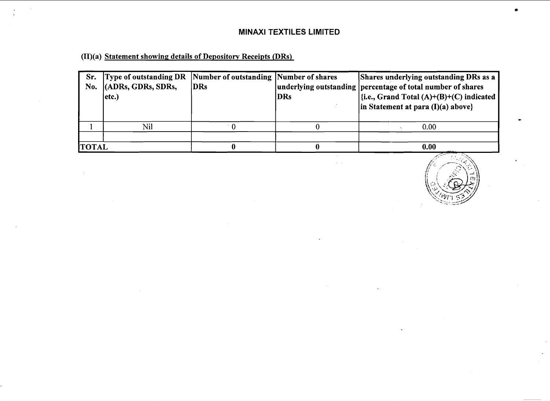(II)(a) Statement showing; details of Depository Receipts (DRs)

| Sr.<br>No.   | Type of outstanding DR Number of outstanding Number of shares<br>$ $ (ADRs, GDRs, SDRs,<br>etc.) | <b>DRs</b> | <b>DRs</b> | <b>Shares underlying outstanding DRs as a</b><br>underlying outstanding percentage of total number of shares<br>$\left \frac{f_i.e., \text{Grand Total } (A)+(B)+(C)}{h_i}\right $ indicated<br>$\vert$ in Statement at para (I)(a) above} |
|--------------|--------------------------------------------------------------------------------------------------|------------|------------|--------------------------------------------------------------------------------------------------------------------------------------------------------------------------------------------------------------------------------------------|
|              | Nil                                                                                              |            |            | 0.00                                                                                                                                                                                                                                       |
|              |                                                                                                  |            |            |                                                                                                                                                                                                                                            |
| <b>TOTAL</b> |                                                                                                  |            |            | 0.00                                                                                                                                                                                                                                       |